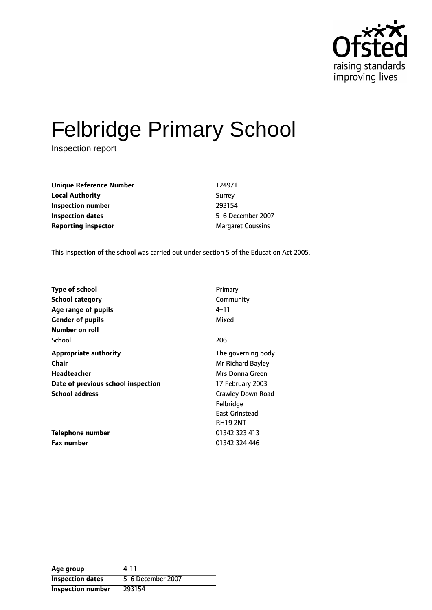

# Felbridge Primary School

Inspection report

**Unique Reference Number** 124971 **Local Authority** Surrey **Inspection number** 293154 **Inspection dates** 5-6 December 2007 **Reporting inspector** Margaret Coussins

This inspection of the school was carried out under section 5 of the Education Act 2005.

| <b>Type of school</b><br><b>School category</b> | Primary<br>Community                                                       |
|-------------------------------------------------|----------------------------------------------------------------------------|
| Age range of pupils                             | 4–11                                                                       |
| <b>Gender of pupils</b><br>Number on roll       | Mixed                                                                      |
| School                                          | 206                                                                        |
| Appropriate authority<br>Chair                  | The governing body<br>Mr Richard Bayley                                    |
| Headteacher                                     | Mrs Donna Green                                                            |
| Date of previous school inspection              | 17 February 2003                                                           |
| <b>School address</b>                           | Crawley Down Road<br>Felbridge<br><b>East Grinstead</b><br><b>RH19 2NT</b> |
| Telephone number                                | 01342 323 413                                                              |
| <b>Fax number</b>                               | 01342 324 446                                                              |

| Age group                | 4-11              |
|--------------------------|-------------------|
| <b>Inspection dates</b>  | 5-6 December 2007 |
| <b>Inspection number</b> | 293154            |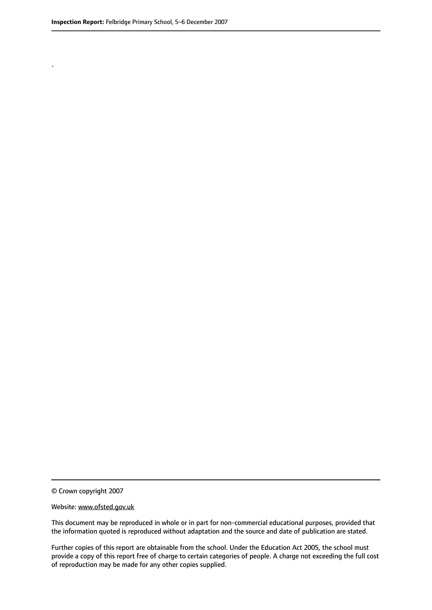.

© Crown copyright 2007

#### Website: www.ofsted.gov.uk

This document may be reproduced in whole or in part for non-commercial educational purposes, provided that the information quoted is reproduced without adaptation and the source and date of publication are stated.

Further copies of this report are obtainable from the school. Under the Education Act 2005, the school must provide a copy of this report free of charge to certain categories of people. A charge not exceeding the full cost of reproduction may be made for any other copies supplied.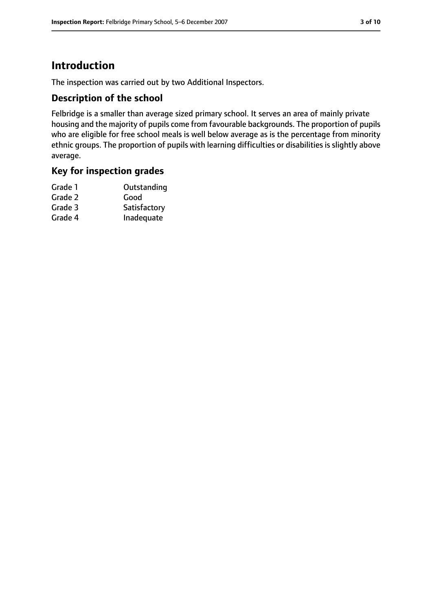# **Introduction**

The inspection was carried out by two Additional Inspectors.

## **Description of the school**

Felbridge is a smaller than average sized primary school. It serves an area of mainly private housing and the majority of pupils come from favourable backgrounds. The proportion of pupils who are eligible for free school meals is well below average as is the percentage from minority ethnic groups. The proportion of pupils with learning difficulties or disabilities is slightly above average.

## **Key for inspection grades**

| Grade 1 | Outstanding  |
|---------|--------------|
| Grade 2 | Good         |
| Grade 3 | Satisfactory |
| Grade 4 | Inadequate   |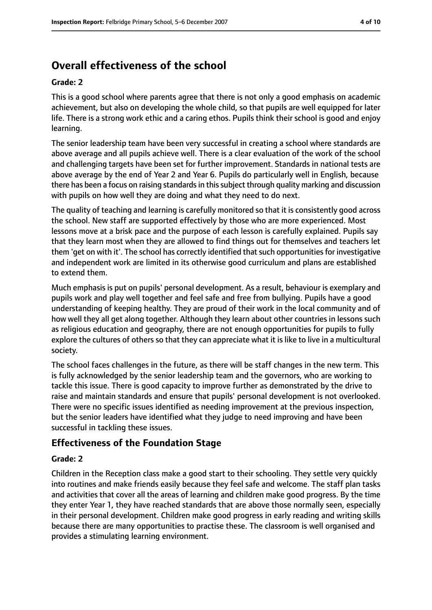# **Overall effectiveness of the school**

#### **Grade: 2**

This is a good school where parents agree that there is not only a good emphasis on academic achievement, but also on developing the whole child, so that pupils are well equipped for later life. There is a strong work ethic and a caring ethos. Pupils think their school is good and enjoy learning.

The senior leadership team have been very successful in creating a school where standards are above average and all pupils achieve well. There is a clear evaluation of the work of the school and challenging targets have been set for further improvement. Standards in national tests are above average by the end of Year 2 and Year 6. Pupils do particularly well in English, because there has been a focus on raising standardsin thissubject through quality marking and discussion with pupils on how well they are doing and what they need to do next.

The quality of teaching and learning is carefully monitored so that it is consistently good across the school. New staff are supported effectively by those who are more experienced. Most lessons move at a brisk pace and the purpose of each lesson is carefully explained. Pupils say that they learn most when they are allowed to find things out for themselves and teachers let them 'get on with it'. The school has correctly identified that such opportunities for investigative and independent work are limited in its otherwise good curriculum and plans are established to extend them.

Much emphasis is put on pupils' personal development. As a result, behaviour is exemplary and pupils work and play well together and feel safe and free from bullying. Pupils have a good understanding of keeping healthy. They are proud of their work in the local community and of how well they all get along together. Although they learn about other countries in lessons such as religious education and geography, there are not enough opportunities for pupils to fully explore the cultures of others so that they can appreciate what it is like to live in a multicultural society.

The school faces challenges in the future, as there will be staff changes in the new term. This is fully acknowledged by the senior leadership team and the governors, who are working to tackle this issue. There is good capacity to improve further as demonstrated by the drive to raise and maintain standards and ensure that pupils' personal development is not overlooked. There were no specific issues identified as needing improvement at the previous inspection, but the senior leaders have identified what they judge to need improving and have been successful in tackling these issues.

# **Effectiveness of the Foundation Stage**

## **Grade: 2**

Children in the Reception class make a good start to their schooling. They settle very quickly into routines and make friends easily because they feel safe and welcome. The staff plan tasks and activities that cover all the areas of learning and children make good progress. By the time they enter Year 1, they have reached standards that are above those normally seen, especially in their personal development. Children make good progress in early reading and writing skills because there are many opportunities to practise these. The classroom is well organised and provides a stimulating learning environment.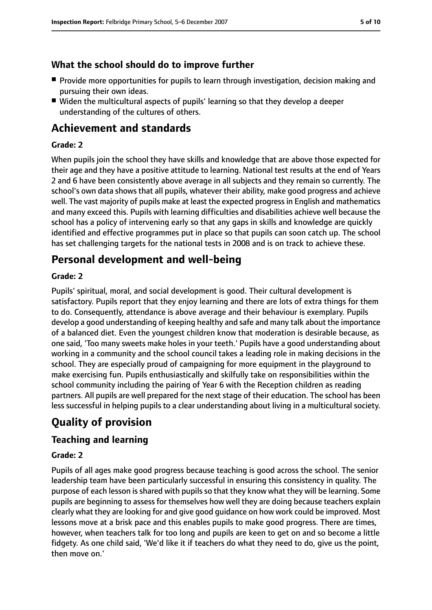# **What the school should do to improve further**

- Provide more opportunities for pupils to learn through investigation, decision making and pursuing their own ideas.
- Widen the multicultural aspects of pupils' learning so that they develop a deeper understanding of the cultures of others.

# **Achievement and standards**

## **Grade: 2**

When pupils join the school they have skills and knowledge that are above those expected for their age and they have a positive attitude to learning. National test results at the end of Years 2 and 6 have been consistently above average in all subjects and they remain so currently. The school's own data shows that all pupils, whatever their ability, make good progress and achieve well. The vast majority of pupils make at least the expected progressin English and mathematics and many exceed this. Pupils with learning difficulties and disabilities achieve well because the school has a policy of intervening early so that any gaps in skills and knowledge are quickly identified and effective programmes put in place so that pupils can soon catch up. The school has set challenging targets for the national tests in 2008 and is on track to achieve these.

# **Personal development and well-being**

## **Grade: 2**

Pupils' spiritual, moral, and social development is good. Their cultural development is satisfactory. Pupils report that they enjoy learning and there are lots of extra things for them to do. Consequently, attendance is above average and their behaviour is exemplary. Pupils develop a good understanding of keeping healthy and safe and many talk about the importance of a balanced diet. Even the youngest children know that moderation is desirable because, as one said, 'Too many sweets make holes in your teeth.' Pupils have a good understanding about working in a community and the school council takes a leading role in making decisions in the school. They are especially proud of campaigning for more equipment in the playground to make exercising fun. Pupils enthusiastically and skilfully take on responsibilities within the school community including the pairing of Year 6 with the Reception children as reading partners. All pupils are well prepared for the next stage of their education. The school has been less successful in helping pupils to a clear understanding about living in a multicultural society.

# **Quality of provision**

# **Teaching and learning**

## **Grade: 2**

Pupils of all ages make good progress because teaching is good across the school. The senior leadership team have been particularly successful in ensuring this consistency in quality. The purpose of each lesson is shared with pupils so that they know what they will be learning. Some pupils are beginning to assess for themselves how well they are doing because teachers explain clearly what they are looking for and give good guidance on how work could be improved. Most lessons move at a brisk pace and this enables pupils to make good progress. There are times, however, when teachers talk for too long and pupils are keen to get on and so become a little fidgety. As one child said, 'We'd like it if teachers do what they need to do, give us the point, then move on.'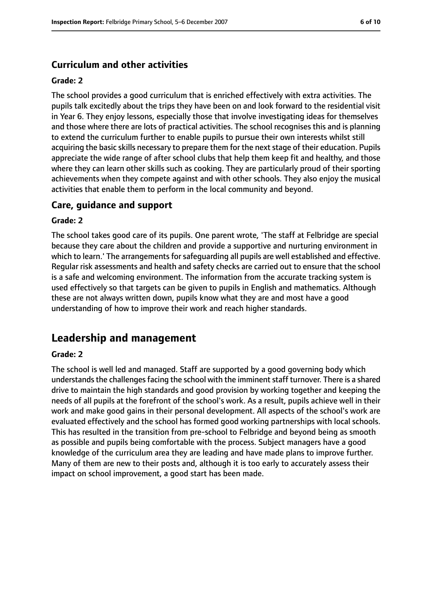## **Curriculum and other activities**

#### **Grade: 2**

The school provides a good curriculum that is enriched effectively with extra activities. The pupils talk excitedly about the trips they have been on and look forward to the residential visit in Year 6. They enjoy lessons, especially those that involve investigating ideas for themselves and those where there are lots of practical activities. The school recognises this and is planning to extend the curriculum further to enable pupils to pursue their own interests whilst still acquiring the basic skills necessary to prepare them for the next stage of their education. Pupils appreciate the wide range of after school clubs that help them keep fit and healthy, and those where they can learn other skills such as cooking. They are particularly proud of their sporting achievements when they compete against and with other schools. They also enjoy the musical activities that enable them to perform in the local community and beyond.

### **Care, guidance and support**

#### **Grade: 2**

The school takes good care of its pupils. One parent wrote, 'The staff at Felbridge are special because they care about the children and provide a supportive and nurturing environment in which to learn.' The arrangements for safeguarding all pupils are well established and effective. Regular risk assessments and health and safety checks are carried out to ensure that the school is a safe and welcoming environment. The information from the accurate tracking system is used effectively so that targets can be given to pupils in English and mathematics. Although these are not always written down, pupils know what they are and most have a good understanding of how to improve their work and reach higher standards.

# **Leadership and management**

#### **Grade: 2**

The school is well led and managed. Staff are supported by a good governing body which understands the challenges facing the school with the imminent staff turnover. There is a shared drive to maintain the high standards and good provision by working together and keeping the needs of all pupils at the forefront of the school's work. As a result, pupils achieve well in their work and make good gains in their personal development. All aspects of the school's work are evaluated effectively and the school has formed good working partnerships with local schools. This has resulted in the transition from pre-school to Felbridge and beyond being as smooth as possible and pupils being comfortable with the process. Subject managers have a good knowledge of the curriculum area they are leading and have made plans to improve further. Many of them are new to their posts and, although it is too early to accurately assess their impact on school improvement, a good start has been made.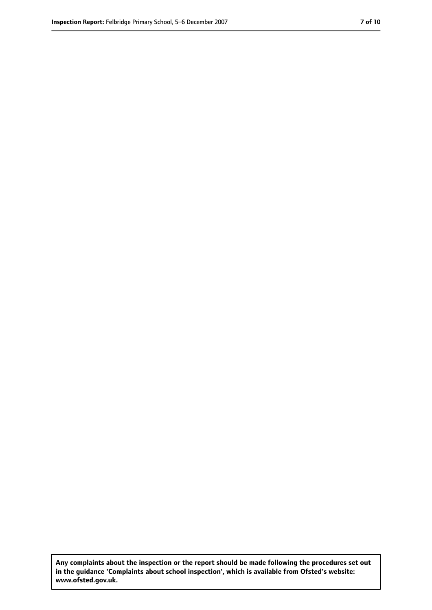**Any complaints about the inspection or the report should be made following the procedures set out in the guidance 'Complaints about school inspection', which is available from Ofsted's website: www.ofsted.gov.uk.**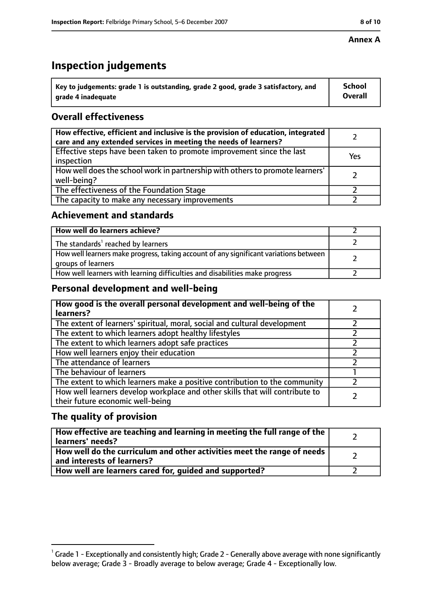#### **Annex A**

# **Inspection judgements**

| $^{\backprime}$ Key to judgements: grade 1 is outstanding, grade 2 good, grade 3 satisfactory, and | <b>School</b>  |
|----------------------------------------------------------------------------------------------------|----------------|
| arade 4 inadequate                                                                                 | <b>Overall</b> |

# **Overall effectiveness**

| How effective, efficient and inclusive is the provision of education, integrated<br>care and any extended services in meeting the needs of learners? |     |
|------------------------------------------------------------------------------------------------------------------------------------------------------|-----|
| Effective steps have been taken to promote improvement since the last<br>inspection                                                                  | Yes |
| How well does the school work in partnership with others to promote learners'<br>well-being?                                                         |     |
| The effectiveness of the Foundation Stage                                                                                                            |     |
| The capacity to make any necessary improvements                                                                                                      |     |

## **Achievement and standards**

| How well do learners achieve?                                                                               |  |
|-------------------------------------------------------------------------------------------------------------|--|
| The standards <sup>1</sup> reached by learners                                                              |  |
| How well learners make progress, taking account of any significant variations between<br>groups of learners |  |
| How well learners with learning difficulties and disabilities make progress                                 |  |

# **Personal development and well-being**

| How good is the overall personal development and well-being of the<br>learners?                                  |  |
|------------------------------------------------------------------------------------------------------------------|--|
| The extent of learners' spiritual, moral, social and cultural development                                        |  |
| The extent to which learners adopt healthy lifestyles                                                            |  |
| The extent to which learners adopt safe practices                                                                |  |
| How well learners enjoy their education                                                                          |  |
| The attendance of learners                                                                                       |  |
| The behaviour of learners                                                                                        |  |
| The extent to which learners make a positive contribution to the community                                       |  |
| How well learners develop workplace and other skills that will contribute to<br>their future economic well-being |  |

# **The quality of provision**

| How effective are teaching and learning in meeting the full range of the<br>learners' needs?          |  |
|-------------------------------------------------------------------------------------------------------|--|
| How well do the curriculum and other activities meet the range of needs<br>and interests of learners? |  |
| How well are learners cared for, guided and supported?                                                |  |

 $^1$  Grade 1 - Exceptionally and consistently high; Grade 2 - Generally above average with none significantly below average; Grade 3 - Broadly average to below average; Grade 4 - Exceptionally low.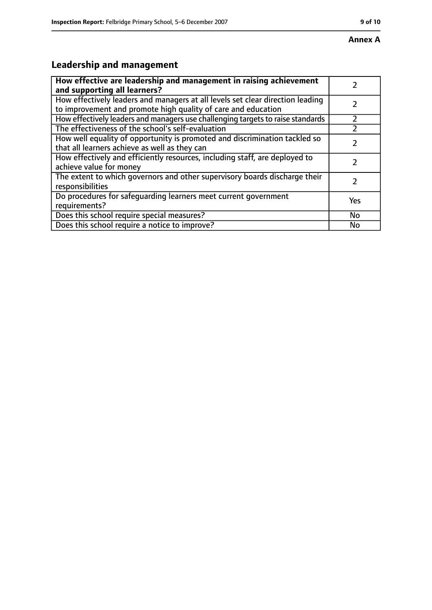# **Annex A**

# **Leadership and management**

| How effective are leadership and management in raising achievement<br>and supporting all learners?                                              |     |
|-------------------------------------------------------------------------------------------------------------------------------------------------|-----|
| How effectively leaders and managers at all levels set clear direction leading<br>to improvement and promote high quality of care and education |     |
| How effectively leaders and managers use challenging targets to raise standards                                                                 |     |
| The effectiveness of the school's self-evaluation                                                                                               |     |
| How well equality of opportunity is promoted and discrimination tackled so<br>that all learners achieve as well as they can                     |     |
| How effectively and efficiently resources, including staff, are deployed to<br>achieve value for money                                          | 7   |
| The extent to which governors and other supervisory boards discharge their<br>responsibilities                                                  | 7   |
| Do procedures for safequarding learners meet current government<br>requirements?                                                                | Yes |
| Does this school require special measures?                                                                                                      | No  |
| Does this school require a notice to improve?                                                                                                   | No  |